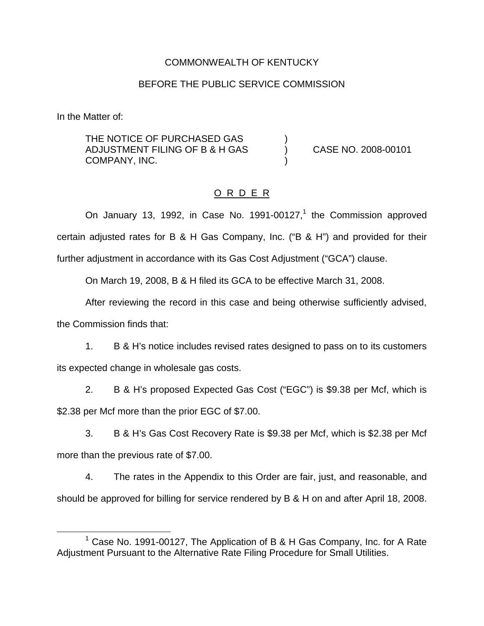### COMMONWEALTH OF KENTUCKY

#### BEFORE THE PUBLIC SERVICE COMMISSION

In the Matter of:

THE NOTICE OF PURCHASED GAS ADJUSTMENT FILING OF B & H GAS (2008-00101 COMPANY, INC.

### O R D E R

On January 13, 1992, in Case No. 1991-00127, $<sup>1</sup>$  the Commission approved</sup> certain adjusted rates for B & H Gas Company, Inc. ("B & H") and provided for their further adjustment in accordance with its Gas Cost Adjustment ("GCA") clause.

On March 19, 2008, B & H filed its GCA to be effective March 31, 2008.

After reviewing the record in this case and being otherwise sufficiently advised, the Commission finds that:

1. B & H's notice includes revised rates designed to pass on to its customers its expected change in wholesale gas costs.

2. B & H's proposed Expected Gas Cost ("EGC") is \$9.38 per Mcf, which is \$2.38 per Mcf more than the prior EGC of \$7.00.

3. B & H's Gas Cost Recovery Rate is \$9.38 per Mcf, which is \$2.38 per Mcf more than the previous rate of \$7.00.

4. The rates in the Appendix to this Order are fair, just, and reasonable, and should be approved for billing for service rendered by B & H on and after April 18, 2008.

<sup>&</sup>lt;sup>1</sup> Case No. 1991-00127, The Application of B & H Gas Company, Inc. for A Rate Adjustment Pursuant to the Alternative Rate Filing Procedure for Small Utilities.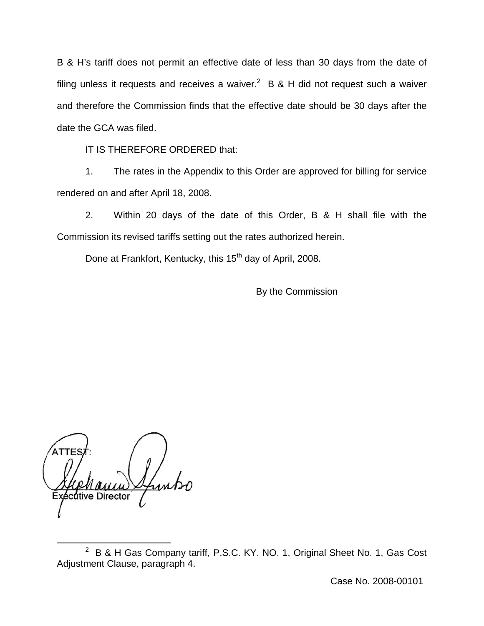B & H's tariff does not permit an effective date of less than 30 days from the date of filing unless it requests and receives a waiver.<sup>2</sup> B & H did not request such a waiver and therefore the Commission finds that the effective date should be 30 days after the date the GCA was filed.

IT IS THEREFORE ORDERED that:

1. The rates in the Appendix to this Order are approved for billing for service rendered on and after April 18, 2008.

2. Within 20 days of the date of this Order, B & H shall file with the Commission its revised tariffs setting out the rates authorized herein.

Done at Frankfort, Kentucky, this 15<sup>th</sup> day of April, 2008.

By the Commission

utive Director

Case No. 2008-00101

<sup>&</sup>lt;sup>2</sup> B & H Gas Company tariff, P.S.C. KY. NO. 1, Original Sheet No. 1, Gas Cost Adjustment Clause, paragraph 4.